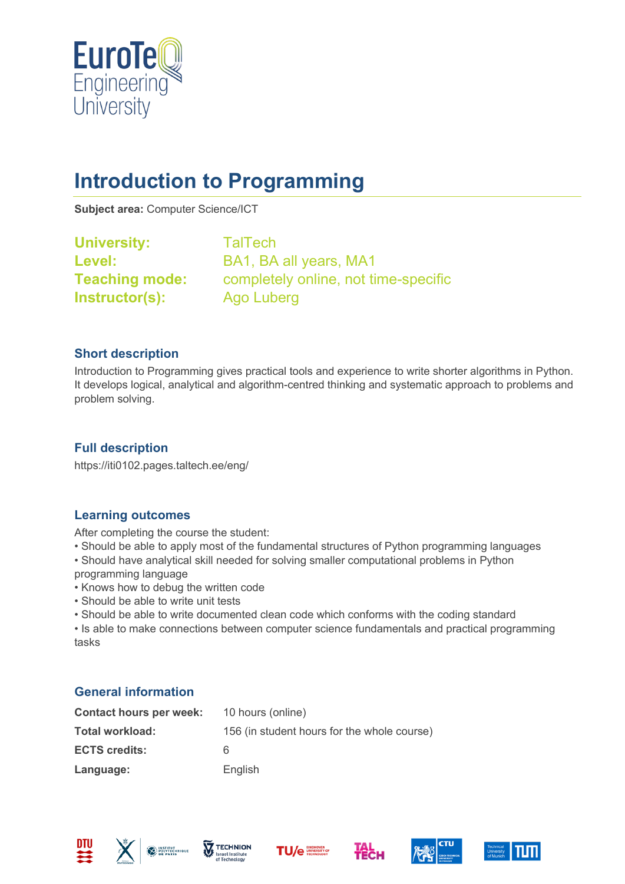

# **Introduction to Programming**

**Subject area:** Computer Science/ICT

| <b>University:</b>    |
|-----------------------|
| Level:                |
| <b>Teaching mode:</b> |
| Instructor(s):        |

**University:** TalTech BA1, BA all years, MA1 completely online, not time-specific **Instructor(s):** Ago Luberg

#### **Short description**

Introduction to Programming gives practical tools and experience to write shorter algorithms in Python. It develops logical, analytical and algorithm-centred thinking and systematic approach to problems and problem solving.

## **Full description**

https://iti0102.pages.taltech.ee/eng/

#### **Learning outcomes**

After completing the course the student:

- Should be able to apply most of the fundamental structures of Python programming languages
- Should have analytical skill needed for solving smaller computational problems in Python
- programming language
- Knows how to debug the written code
- Should be able to write unit tests
- Should be able to write documented clean code which conforms with the coding standard

• Is able to make connections between computer science fundamentals and practical programming tasks

## **General information**

| <b>Contact hours per week:</b> | 10 hours (online)                           |
|--------------------------------|---------------------------------------------|
| Total workload:                | 156 (in student hours for the whole course) |
| <b>ECTS credits:</b>           | 6                                           |
| Language:                      | English                                     |











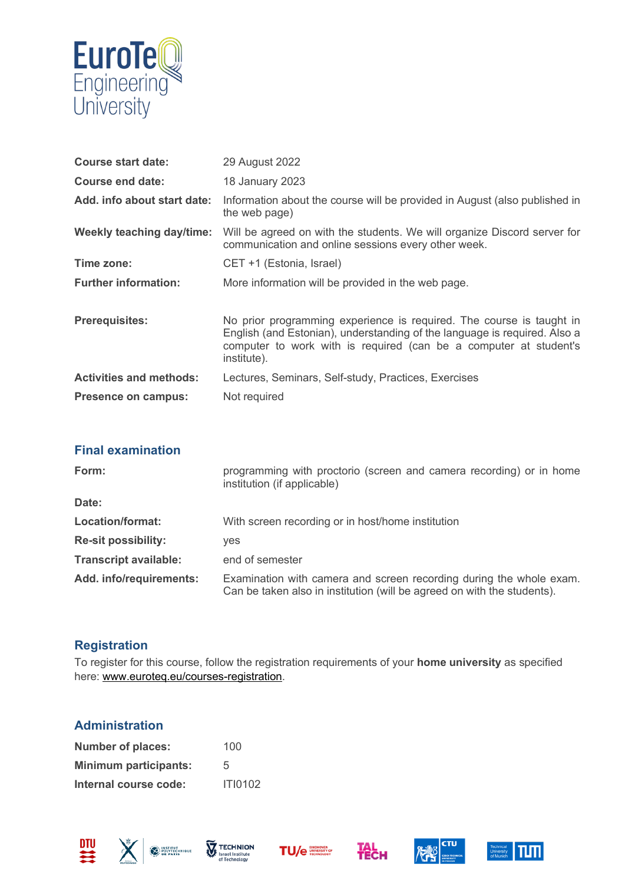

| <b>Course start date:</b>        | 29 August 2022                                                                                                                                                                                                                        |
|----------------------------------|---------------------------------------------------------------------------------------------------------------------------------------------------------------------------------------------------------------------------------------|
| Course end date:                 | 18 January 2023                                                                                                                                                                                                                       |
| Add. info about start date:      | Information about the course will be provided in August (also published in<br>the web page)                                                                                                                                           |
| <b>Weekly teaching day/time:</b> | Will be agreed on with the students. We will organize Discord server for<br>communication and online sessions every other week.                                                                                                       |
| Time zone:                       | CET +1 (Estonia, Israel)                                                                                                                                                                                                              |
| <b>Further information:</b>      | More information will be provided in the web page.                                                                                                                                                                                    |
| <b>Prerequisites:</b>            | No prior programming experience is required. The course is taught in<br>English (and Estonian), understanding of the language is required. Also a<br>computer to work with is required (can be a computer at student's<br>institute). |
| <b>Activities and methods:</b>   | Lectures, Seminars, Self-study, Practices, Exercises                                                                                                                                                                                  |
| Presence on campus:              | Not required                                                                                                                                                                                                                          |

#### **Final examination**

| Form:                        | programming with proctorio (screen and camera recording) or in home<br>institution (if applicable)                                             |
|------------------------------|------------------------------------------------------------------------------------------------------------------------------------------------|
| Date:                        |                                                                                                                                                |
| Location/format:             | With screen recording or in host/home institution                                                                                              |
| <b>Re-sit possibility:</b>   | yes                                                                                                                                            |
| <b>Transcript available:</b> | end of semester                                                                                                                                |
| Add. info/requirements:      | Examination with camera and screen recording during the whole exam.<br>Can be taken also in institution (will be agreed on with the students). |

## **Registration**

To register for this course, follow the registration requirements of your **home university** as specified here: [www.euroteq.eu/courses-registration.](http://www.euroteq.eu/courses-registration)

## **Administration**

| <b>Number of places:</b>     | 100            |
|------------------------------|----------------|
| <b>Minimum participants:</b> | 5              |
| Internal course code:        | <b>ITI0102</b> |